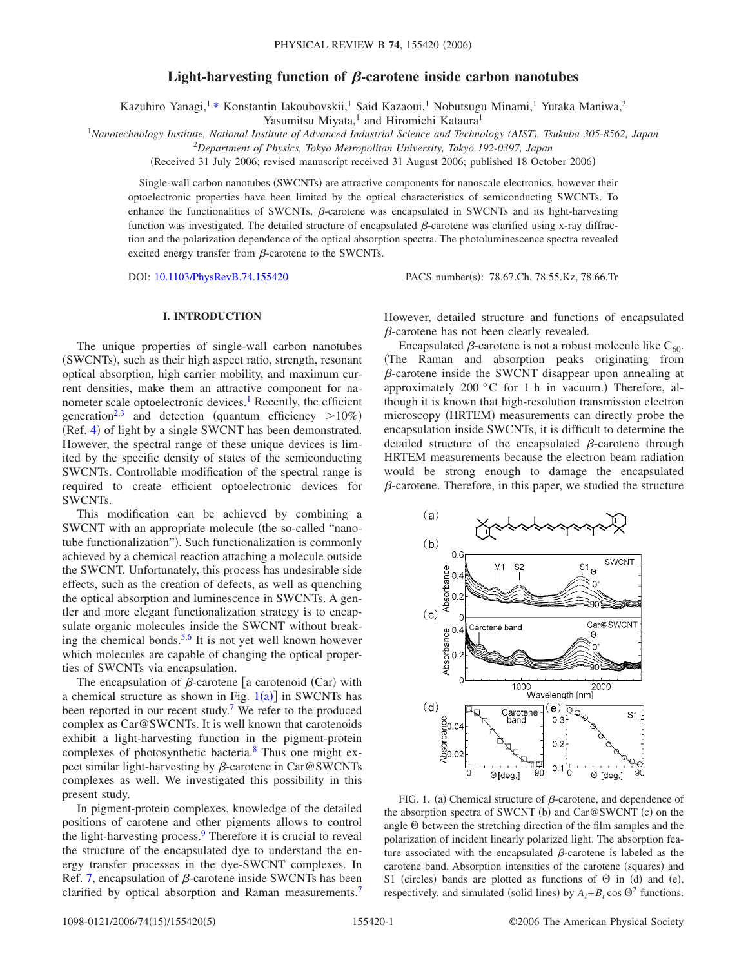# Light-harvesting function of  $\beta$ -carotene inside carbon nanotubes

Kazuhiro Yanagi,<sup>1[,\\*](#page-4-0)</sup> Konstantin Iakoubovskii,<sup>1</sup> Said Kazaoui,<sup>1</sup> Nobutsugu Minami,<sup>1</sup> Yutaka Maniwa,<sup>2</sup>

Yasumitsu Miyata,<sup>1</sup> and Hiromichi Kataura<sup>1</sup>

<sup>1</sup>*Nanotechnology Institute, National Institute of Advanced Industrial Science and Technology (AIST), Tsukuba 305-8562, Japan*

2 *Department of Physics, Tokyo Metropolitan University, Tokyo 192-0397, Japan*

(Received 31 July 2006; revised manuscript received 31 August 2006; published 18 October 2006)

Single-wall carbon nanotubes (SWCNTs) are attractive components for nanoscale electronics, however their optoelectronic properties have been limited by the optical characteristics of semiconducting SWCNTs. To enhance the functionalities of SWCNTs,  $\beta$ -carotene was encapsulated in SWCNTs and its light-harvesting function was investigated. The detailed structure of encapsulated  $\beta$ -carotene was clarified using x-ray diffraction and the polarization dependence of the optical absorption spectra. The photoluminescence spectra revealed excited energy transfer from  $\beta$ -carotene to the SWCNTs.

DOI: [10.1103/PhysRevB.74.155420](http://dx.doi.org/10.1103/PhysRevB.74.155420)

PACS number(s): 78.67.Ch, 78.55.Kz, 78.66.Tr

# **I. INTRODUCTION**

The unique properties of single-wall carbon nanotubes (SWCNTs), such as their high aspect ratio, strength, resonant optical absorption, high carrier mobility, and maximum current densities, make them an attractive component for nanometer scale optoelectronic devices.<sup>1</sup> Recently, the efficient generation<sup>2[,3](#page-4-3)</sup> and detection (quantum efficiency  $>10\%$ ) (Ref. [4](#page-4-4)) of light by a single SWCNT has been demonstrated. However, the spectral range of these unique devices is limited by the specific density of states of the semiconducting SWCNTs. Controllable modification of the spectral range is required to create efficient optoelectronic devices for SWCNTs.

This modification can be achieved by combining a SWCNT with an appropriate molecule (the so-called "nanotube functionalization"). Such functionalization is commonly achieved by a chemical reaction attaching a molecule outside the SWCNT. Unfortunately, this process has undesirable side effects, such as the creation of defects, as well as quenching the optical absorption and luminescence in SWCNTs. A gentler and more elegant functionalization strategy is to encapsulate organic molecules inside the SWCNT without break-ing the chemical bonds.<sup>5,[6](#page-4-6)</sup> It is not yet well known however which molecules are capable of changing the optical properties of SWCNTs via encapsulation.

The encapsulation of  $\beta$ -carotene [a carotenoid (Car) with a chemical structure as shown in Fig.  $1(a)$  $1(a)$ ] in SWCNTs has been reported in our recent study.<sup>7</sup> We refer to the produced complex as Car@SWCNTs. It is well known that carotenoids exhibit a light-harvesting function in the pigment-protein complexes of photosynthetic bacteria[.8](#page-4-8) Thus one might expect similar light-harvesting by  $\beta$ -carotene in Car@SWCNTs complexes as well. We investigated this possibility in this present study.

In pigment-protein complexes, knowledge of the detailed positions of carotene and other pigments allows to control the light-harvesting process.<sup>9</sup> Therefore it is crucial to reveal the structure of the encapsulated dye to understand the energy transfer processes in the dye-SWCNT complexes. In Ref. [7,](#page-4-7) encapsulation of  $\beta$ -carotene inside SWCNTs has been clarified by optical absorption and Raman measurements.<sup>7</sup> However, detailed structure and functions of encapsulated  $\beta$ -carotene has not been clearly revealed.

Encapsulated  $\beta$ -carotene is not a robust molecule like C<sub>60</sub>. The Raman and absorption peaks originating from  $\beta$ -carotene inside the SWCNT disappear upon annealing at approximately 200 °C for 1 h in vacuum.) Therefore, although it is known that high-resolution transmission electron microscopy (HRTEM) measurements can directly probe the encapsulation inside SWCNTs, it is difficult to determine the detailed structure of the encapsulated  $\beta$ -carotene through HRTEM measurements because the electron beam radiation would be strong enough to damage the encapsulated  $\beta$ -carotene. Therefore, in this paper, we studied the structure

<span id="page-0-0"></span>

FIG. 1. (a) Chemical structure of  $\beta$ -carotene, and dependence of the absorption spectra of SWCNT (b) and Car@SWCNT (c) on the angle  $\Theta$  between the stretching direction of the film samples and the polarization of incident linearly polarized light. The absorption feature associated with the encapsulated  $\beta$ -carotene is labeled as the carotene band. Absorption intensities of the carotene (squares) and S1 (circles) bands are plotted as functions of  $\Theta$  in (d) and (e), respectively, and simulated (solid lines) by  $A_i + B_i \cos \Theta^2$  functions.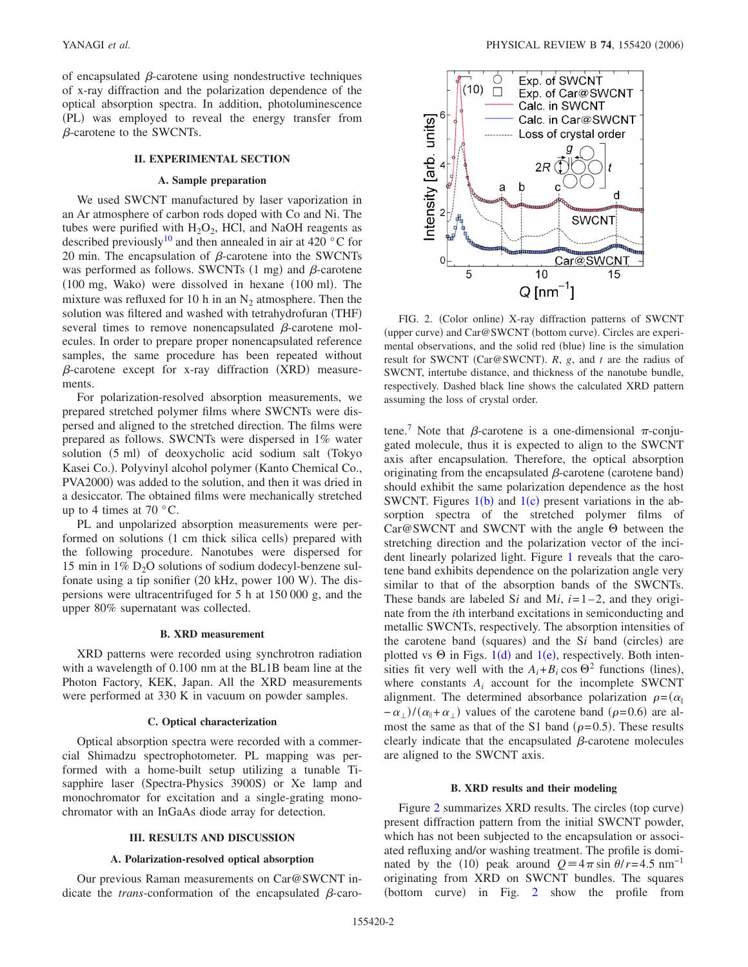of encapsulated  $\beta$ -carotene using nondestructive techniques of x-ray diffraction and the polarization dependence of the optical absorption spectra. In addition, photoluminescence (PL) was employed to reveal the energy transfer from  $\beta$ -carotene to the SWCNTs.

# **II. EXPERIMENTAL SECTION**

## **A. Sample preparation**

We used SWCNT manufactured by laser vaporization in an Ar atmosphere of carbon rods doped with Co and Ni. The tubes were purified with  $H_2O_2$ , HCl, and NaOH reagents as described previously<sup>10</sup> and then annealed in air at 420  $\degree$ C for 20 min. The encapsulation of  $\beta$ -carotene into the SWCNTs was performed as follows. SWCNTs  $(1 \text{ mg})$  and  $\beta$ -carotene (100 mg, Wako) were dissolved in hexane (100 ml). The mixture was refluxed for 10 h in an  $N<sub>2</sub>$  atmosphere. Then the solution was filtered and washed with tetrahydrofuran (THF) several times to remove nonencapsulated  $\beta$ -carotene molecules. In order to prepare proper nonencapsulated reference samples, the same procedure has been repeated without  $\beta$ -carotene except for x-ray diffraction (XRD) measurements.

For polarization-resolved absorption measurements, we prepared stretched polymer films where SWCNTs were dispersed and aligned to the stretched direction. The films were prepared as follows. SWCNTs were dispersed in 1% water solution (5 ml) of deoxycholic acid sodium salt (Tokyo Kasei Co.). Polyvinyl alcohol polymer (Kanto Chemical Co., PVA2000) was added to the solution, and then it was dried in a desiccator. The obtained films were mechanically stretched up to 4 times at 70 $\degree$ C.

PL and unpolarized absorption measurements were performed on solutions (1 cm thick silica cells) prepared with the following procedure. Nanotubes were dispersed for 15 min in  $1\%$  D<sub>2</sub>O solutions of sodium dodecyl-benzene sulfonate using a tip sonifier (20 kHz, power 100 W). The dispersions were ultracentrifuged for 5 h at 150 000 g, and the upper 80% supernatant was collected.

#### **B. XRD measurement**

XRD patterns were recorded using synchrotron radiation with a wavelength of 0.100 nm at the BL1B beam line at the Photon Factory, KEK, Japan. All the XRD measurements were performed at 330 K in vacuum on powder samples.

#### **C. Optical characterization**

Optical absorption spectra were recorded with a commercial Shimadzu spectrophotometer. PL mapping was performed with a home-built setup utilizing a tunable Tisapphire laser (Spectra-Physics 3900S) or Xe lamp and monochromator for excitation and a single-grating monochromator with an InGaAs diode array for detection.

### **III. RESULTS AND DISCUSSION**

#### **A. Polarization-resolved optical absorption**

Our previous Raman measurements on Car@SWCNT indicate the *trans*-conformation of the encapsulated  $\beta$ -caro-

<span id="page-1-0"></span>

FIG. 2. (Color online) X-ray diffraction patterns of SWCNT (upper curve) and Car@SWCNT (bottom curve). Circles are experimental observations, and the solid red (blue) line is the simulation result for SWCNT (Car@SWCNT). R, g, and t are the radius of SWCNT, intertube distance, and thickness of the nanotube bundle, respectively. Dashed black line shows the calculated XRD pattern assuming the loss of crystal order.

tene.<sup>7</sup> Note that  $\beta$ -carotene is a one-dimensional  $\pi$ -conjugated molecule, thus it is expected to align to the SWCNT axis after encapsulation. Therefore, the optical absorption originating from the encapsulated  $\beta$ -carotene (carotene band) should exhibit the same polarization dependence as the host SWCNT. Figures  $1(b)$  $1(b)$  and  $1(c)$  present variations in the absorption spectra of the stretched polymer films of  $Car@SWCNT$  and SWCNT with the angle  $\Theta$  between the stretching direction and the polarization vector of the incident linearly polarized light. Figure [1](#page-0-0) reveals that the carotene band exhibits dependence on the polarization angle very similar to that of the absorption bands of the SWCNTs. These bands are labeled S*i* and M*i*,  $i=1-2$ , and they originate from the *i*th interband excitations in semiconducting and metallic SWCNTs, respectively. The absorption intensities of the carotene band (squares) and the Si band (circles) are plotted vs  $\Theta$  in Figs. [1](#page-0-0)(d) and 1(e), respectively. Both intensities fit very well with the  $A_i + B_i \cos \Theta^2$  functions (lines), where constants  $A_i$  account for the incomplete SWCNT alignment. The determined absorbance polarization  $\rho = (\alpha_{\parallel})$  $-\alpha_{\perp}$ )/( $\alpha_{\parallel} + \alpha_{\perp}$ ) values of the carotene band ( $\rho$ =0.6) are almost the same as that of the S1 band  $(\rho = 0.5)$ . These results clearly indicate that the encapsulated  $\beta$ -carotene molecules are aligned to the SWCNT axis.

### **B. XRD results and their modeling**

Figure [2](#page-1-0) summarizes XRD results. The circles (top curve) present diffraction pattern from the initial SWCNT powder, which has not been subjected to the encapsulation or associated refluxing and/or washing treatment. The profile is dominated by the (10) peak around  $Q = 4\pi \sin \theta / r = 4.5 \text{ nm}^{-1}$ originating from XRD on SWCNT bundles. The squares (bottom curve) in Fig. [2](#page-1-0) show the profile from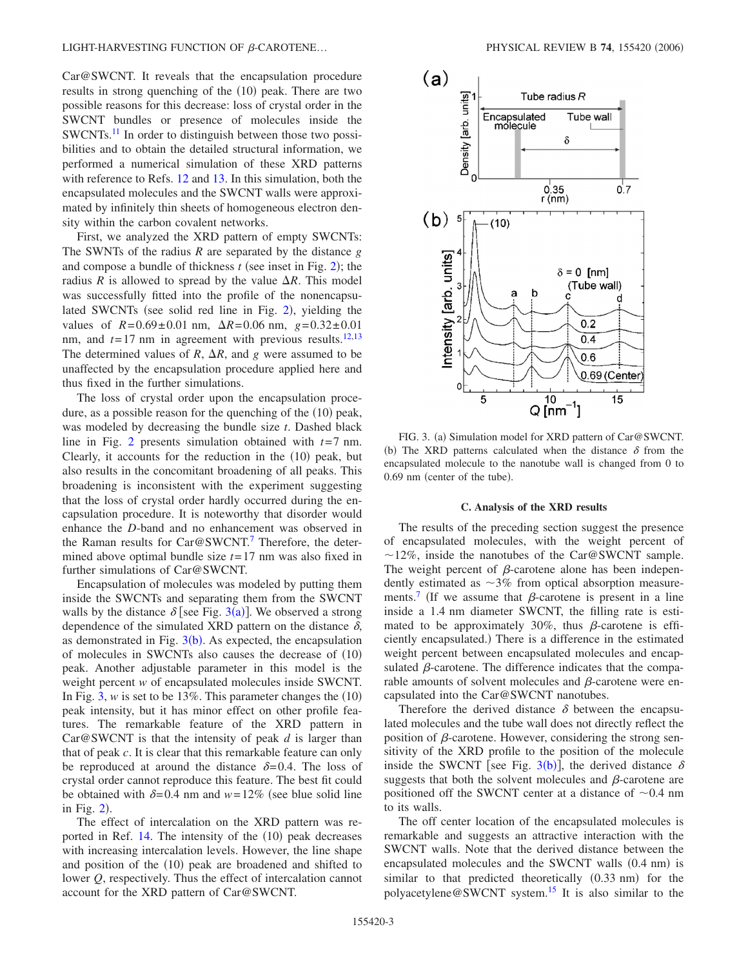Car@SWCNT. It reveals that the encapsulation procedure results in strong quenching of the (10) peak. There are two possible reasons for this decrease: loss of crystal order in the SWCNT bundles or presence of molecules inside the SWCNTs.<sup>11</sup> In order to distinguish between those two possibilities and to obtain the detailed structural information, we performed a numerical simulation of these XRD patterns with reference to Refs. [12](#page-4-12) and [13.](#page-4-13) In this simulation, both the encapsulated molecules and the SWCNT walls were approximated by infinitely thin sheets of homogeneous electron density within the carbon covalent networks.

First, we analyzed the XRD pattern of empty SWCNTs: The SWNTs of the radius *R* are separated by the distance *g* and compose a bundle of thickness  $t$  (see inset in Fig. [2](#page-1-0)); the radius *R* is allowed to spread by the value  $\Delta R$ . This model was successfully fitted into the profile of the nonencapsu-lated SWCNTs (see solid red line in Fig. [2](#page-1-0)), yielding the values of  $R = 0.69 \pm 0.01$  nm,  $\Delta R = 0.06$  nm,  $g = 0.32 \pm 0.01$ nm, and  $t=17$  nm in agreement with previous results.<sup>12,[13](#page-4-13)</sup> The determined values of *R*,  $\Delta R$ , and *g* were assumed to be unaffected by the encapsulation procedure applied here and thus fixed in the further simulations.

The loss of crystal order upon the encapsulation procedure, as a possible reason for the quenching of the (10) peak, was modeled by decreasing the bundle size *t*. Dashed black line in Fig. [2](#page-1-0) presents simulation obtained with  $t=7$  nm. Clearly, it accounts for the reduction in the  $(10)$  peak, but also results in the concomitant broadening of all peaks. This broadening is inconsistent with the experiment suggesting that the loss of crystal order hardly occurred during the encapsulation procedure. It is noteworthy that disorder would enhance the *D*-band and no enhancement was observed in the Raman results for Car@SWCNT.<sup>7</sup> Therefore, the determined above optimal bundle size *t*= 17 nm was also fixed in further simulations of Car@SWCNT.

Encapsulation of molecules was modeled by putting them inside the SWCNTs and separating them from the SWCNT walls by the distance  $\delta$  [see Fig. [3](#page-2-0)(a)]. We observed a strong dependence of the simulated XRD pattern on the distance  $\delta$ , as demonstrated in Fig.  $3(b)$  $3(b)$ . As expected, the encapsulation of molecules in SWCNTs also causes the decrease of (10) peak. Another adjustable parameter in this model is the weight percent *w* of encapsulated molecules inside SWCNT. In Fig.  $3$ , *w* is set to be 13%. This parameter changes the  $(10)$ peak intensity, but it has minor effect on other profile features. The remarkable feature of the XRD pattern in Car@SWCNT is that the intensity of peak *d* is larger than that of peak *c*. It is clear that this remarkable feature can only be reproduced at around the distance  $\delta = 0.4$ . The loss of crystal order cannot reproduce this feature. The best fit could be obtained with  $\delta = 0.4$  nm and  $w = 12\%$  (see blue solid line in Fig.  $2$ ).

The effect of intercalation on the XRD pattern was reported in Ref.  $14$ . The intensity of the  $(10)$  peak decreases with increasing intercalation levels. However, the line shape and position of the (10) peak are broadened and shifted to lower *Q*, respectively. Thus the effect of intercalation cannot account for the XRD pattern of Car@SWCNT.

<span id="page-2-0"></span>

FIG. 3. (a) Simulation model for XRD pattern of Car@SWCNT. (b) The XRD patterns calculated when the distance  $\delta$  from the encapsulated molecule to the nanotube wall is changed from 0 to 0.69 nm (center of the tube).

#### **C. Analysis of the XRD results**

The results of the preceding section suggest the presence of encapsulated molecules, with the weight percent of  $\sim$ 12%, inside the nanotubes of the Car@SWCNT sample. The weight percent of  $\beta$ -carotene alone has been independently estimated as  $\sim$ 3% from optical absorption measurements.<sup>7</sup> (If we assume that  $\beta$ -carotene is present in a line inside a 1.4 nm diameter SWCNT, the filling rate is estimated to be approximately 30%, thus  $\beta$ -carotene is efficiently encapsulated.) There is a difference in the estimated weight percent between encapsulated molecules and encapsulated  $\beta$ -carotene. The difference indicates that the comparable amounts of solvent molecules and  $\beta$ -carotene were encapsulated into the Car@SWCNT nanotubes.

Therefore the derived distance  $\delta$  between the encapsulated molecules and the tube wall does not directly reflect the position of  $\beta$ -carotene. However, considering the strong sensitivity of the XRD profile to the position of the molecule inside the SWCNT [see Fig.  $3(b)$  $3(b)$ ], the derived distance  $\delta$ suggests that both the solvent molecules and  $\beta$ -carotene are positioned off the SWCNT center at a distance of  $\sim 0.4$  nm to its walls.

The off center location of the encapsulated molecules is remarkable and suggests an attractive interaction with the SWCNT walls. Note that the derived distance between the encapsulated molecules and the SWCNT walls (0.4 nm) is similar to that predicted theoretically  $(0.33 \text{ nm})$  for the polyacetylene@SWCNT system[.15](#page-4-15) It is also similar to the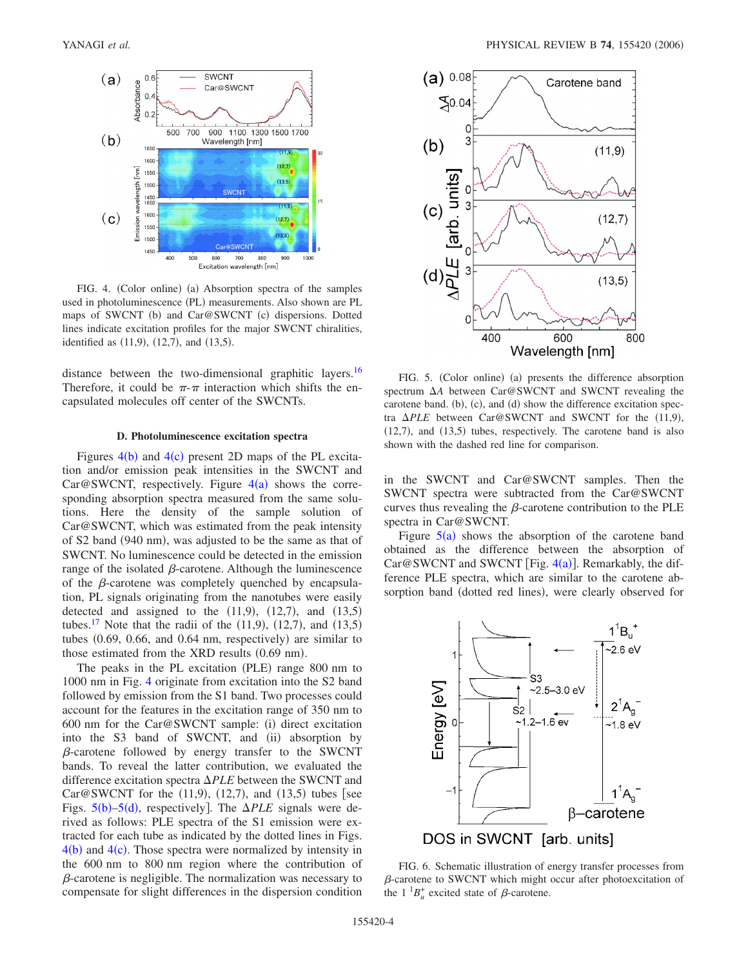<span id="page-3-0"></span>

FIG. 4. (Color online) (a) Absorption spectra of the samples used in photoluminescence (PL) measurements. Also shown are PL maps of SWCNT (b) and Car@SWCNT (c) dispersions. Dotted lines indicate excitation profiles for the major SWCNT chiralities, identified as  $(11,9)$ ,  $(12,7)$ , and  $(13,5)$ .

distance between the two-dimensional graphitic layers.<sup>16</sup> Therefore, it could be  $\pi$ - $\pi$  interaction which shifts the encapsulated molecules off center of the SWCNTs.

#### **D. Photoluminescence excitation spectra**

Figures  $4(b)$  $4(b)$  and  $4(c)$  present 2D maps of the PL excitation and/or emission peak intensities in the SWCNT and Car@SWCNT, respectively. Figure  $4(a)$  $4(a)$  shows the corresponding absorption spectra measured from the same solutions. Here the density of the sample solution of Car@SWCNT, which was estimated from the peak intensity of S2 band (940 nm), was adjusted to be the same as that of SWCNT. No luminescence could be detected in the emission range of the isolated  $\beta$ -carotene. Although the luminescence of the  $\beta$ -carotene was completely quenched by encapsulation, PL signals originating from the nanotubes were easily detected and assigned to the  $(11,9)$ ,  $(12,7)$ , and  $(13,5)$ tubes.<sup>17</sup> Note that the radii of the  $(11, 9)$ ,  $(12, 7)$ , and  $(13, 5)$ tubes  $(0.69, 0.66,$  and  $0.64$  nm, respectively) are similar to those estimated from the XRD results (0.69 nm).

The peaks in the PL excitation (PLE) range 800 nm to 1000 nm in Fig. [4](#page-3-0) originate from excitation into the S2 band followed by emission from the S1 band. Two processes could account for the features in the excitation range of 350 nm to 600 nm for the Car@SWCNT sample: (i) direct excitation into the S3 band of SWCNT, and (ii) absorption by  $\beta$ -carotene followed by energy transfer to the SWCNT bands. To reveal the latter contribution, we evaluated the difference excitation spectra  $\Delta PLE$  between the SWCNT and Car@SWCNT for the  $(11,9)$ ,  $(12,7)$ , and  $(13,5)$  tubes [see Figs.  $5(b)$  $5(b)$ -5(d), respectively]. The  $\Delta PLE$  signals were derived as follows: PLE spectra of the S1 emission were extracted for each tube as indicated by the dotted lines in Figs.  $4(b)$  $4(b)$  and  $4(c)$ . Those spectra were normalized by intensity in the 600 nm to 800 nm region where the contribution of  $\beta$ -carotene is negligible. The normalization was necessary to compensate for slight differences in the dispersion condition

<span id="page-3-1"></span>

FIG. 5. (Color online) (a) presents the difference absorption spectrum  $\Delta A$  between Car@SWCNT and SWCNT revealing the carotene band. (b), (c), and (d) show the difference excitation spectra  $\Delta PLE$  between Car@SWCNT and SWCNT for the  $(11,9)$ ,  $(12,7)$ , and  $(13,5)$  tubes, respectively. The carotene band is also shown with the dashed red line for comparison.

in the SWCNT and Car@SWCNT samples. Then the SWCNT spectra were subtracted from the Car@SWCNT curves thus revealing the  $\beta$ -carotene contribution to the PLE spectra in Car@SWCNT.

Figure  $5(a)$  $5(a)$  shows the absorption of the carotene band obtained as the difference between the absorption of  $Car@SWCNT$  and SWCNT [Fig. [4](#page-3-0)(a)]. Remarkably, the difference PLE spectra, which are similar to the carotene absorption band (dotted red lines), were clearly observed for

<span id="page-3-2"></span>

FIG. 6. Schematic illustration of energy transfer processes from  $\beta$ -carotene to SWCNT which might occur after photoexcitation of the  $1^1B_u^+$  excited state of  $\beta$ -carotene.